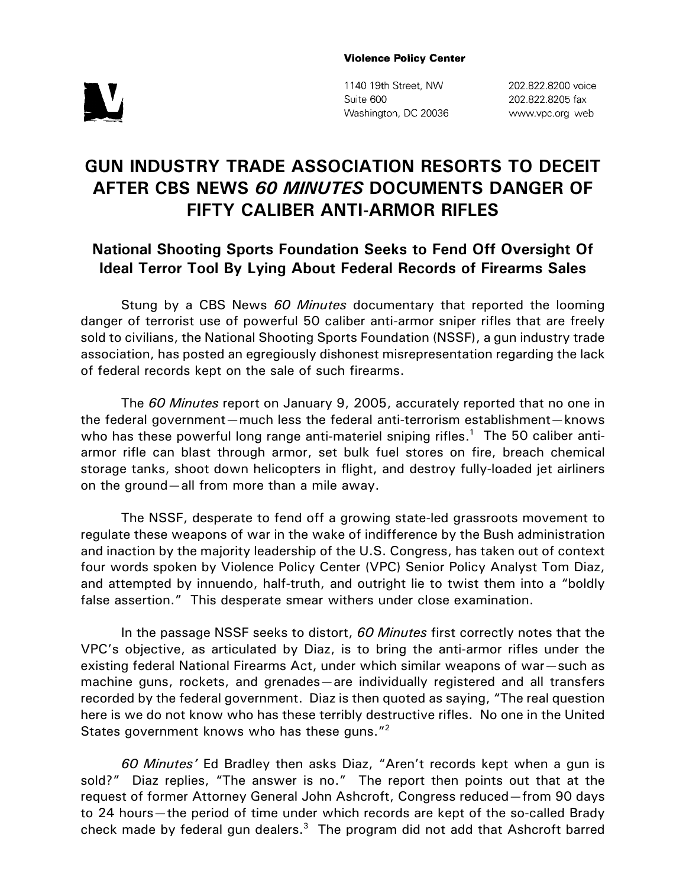## **Violence Policy Center**



1140 19th Street, NW Suite 600 Washington, DC 20036 202.822.8200 voice 202.822.8205 fax www.vpc.org web

## **GUN INDUSTRY TRADE ASSOCIATION RESORTS TO DECEIT AFTER CBS NEWS** *60 MINUTES* **DOCUMENTS DANGER OF FIFTY CALIBER ANTI-ARMOR RIFLES**

## **National Shooting Sports Foundation Seeks to Fend Off Oversight Of Ideal Terror Tool By Lying About Federal Records of Firearms Sales**

Stung by a CBS News *60 Minutes* documentary that reported the looming danger of terrorist use of powerful 50 caliber anti-armor sniper rifles that are freely sold to civilians, the National Shooting Sports Foundation (NSSF), a gun industry trade association, has posted an egregiously dishonest misrepresentation regarding the lack of federal records kept on the sale of such firearms.

The *60 Minutes* report on January 9, 2005, accurately reported that no one in the federal government—much less the federal anti-terrorism establishment—knows who has these powerful long range anti-materiel sniping rifles.<sup>1</sup> The 50 caliber antiarmor rifle can blast through armor, set bulk fuel stores on fire, breach chemical storage tanks, shoot down helicopters in flight, and destroy fully-loaded jet airliners on the ground—all from more than a mile away.

The NSSF, desperate to fend off a growing state-led grassroots movement to regulate these weapons of war in the wake of indifference by the Bush administration and inaction by the majority leadership of the U.S. Congress, has taken out of context four words spoken by Violence Policy Center (VPC) Senior Policy Analyst Tom Diaz, and attempted by innuendo, half-truth, and outright lie to twist them into a "boldly false assertion." This desperate smear withers under close examination.

In the passage NSSF seeks to distort, *60 Minutes* first correctly notes that the VPC's objective, as articulated by Diaz, is to bring the anti-armor rifles under the existing federal National Firearms Act, under which similar weapons of war—such as machine guns, rockets, and grenades—are individually registered and all transfers recorded by the federal government. Diaz is then quoted as saying, "The real question here is we do not know who has these terribly destructive rifles. No one in the United States government knows who has these guns."2

*60 Minutes'* Ed Bradley then asks Diaz, "Aren't records kept when a gun is sold?" Diaz replies, "The answer is no." The report then points out that at the request of former Attorney General John Ashcroft, Congress reduced—from 90 days to 24 hours—the period of time under which records are kept of the so-called Brady check made by federal gun dealers. $^3$  The program did not add that Ashcroft barred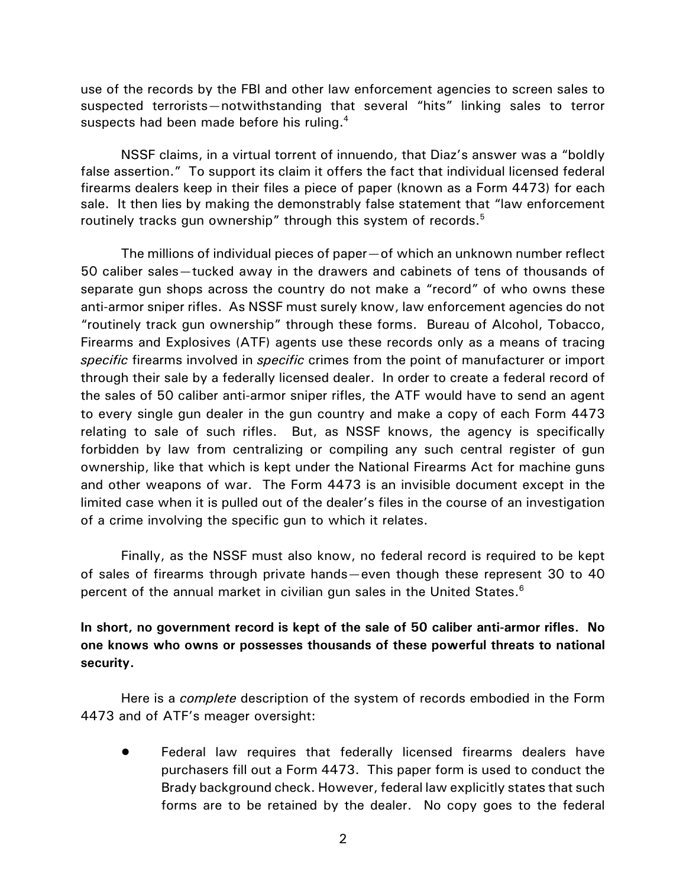use of the records by the FBI and other law enforcement agencies to screen sales to suspected terrorists—notwithstanding that several "hits" linking sales to terror suspects had been made before his ruling.<sup>4</sup>

NSSF claims, in a virtual torrent of innuendo, that Diaz's answer was a "boldly false assertion." To support its claim it offers the fact that individual licensed federal firearms dealers keep in their files a piece of paper (known as a Form 4473) for each sale. It then lies by making the demonstrably false statement that "law enforcement routinely tracks gun ownership" through this system of records.<sup>5</sup>

The millions of individual pieces of paper—of which an unknown number reflect 50 caliber sales—tucked away in the drawers and cabinets of tens of thousands of separate gun shops across the country do not make a "record" of who owns these anti-armor sniper rifles. As NSSF must surely know, law enforcement agencies do not "routinely track gun ownership" through these forms. Bureau of Alcohol, Tobacco, Firearms and Explosives (ATF) agents use these records only as a means of tracing *specific* firearms involved in *specific* crimes from the point of manufacturer or import through their sale by a federally licensed dealer. In order to create a federal record of the sales of 50 caliber anti-armor sniper rifles, the ATF would have to send an agent to every single gun dealer in the gun country and make a copy of each Form 4473 relating to sale of such rifles. But, as NSSF knows, the agency is specifically forbidden by law from centralizing or compiling any such central register of gun ownership, like that which is kept under the National Firearms Act for machine guns and other weapons of war. The Form 4473 is an invisible document except in the limited case when it is pulled out of the dealer's files in the course of an investigation of a crime involving the specific gun to which it relates.

Finally, as the NSSF must also know, no federal record is required to be kept of sales of firearms through private hands—even though these represent 30 to 40 percent of the annual market in civilian gun sales in the United States.<sup>6</sup>

**In short, no government record is kept of the sale of 50 caliber anti-armor rifles. No one knows who owns or possesses thousands of these powerful threats to national security.**

Here is a *complete* description of the system of records embodied in the Form 4473 and of ATF's meager oversight:

Federal law requires that federally licensed firearms dealers have purchasers fill out a Form 4473. This paper form is used to conduct the Brady background check. However, federal law explicitly states that such forms are to be retained by the dealer. No copy goes to the federal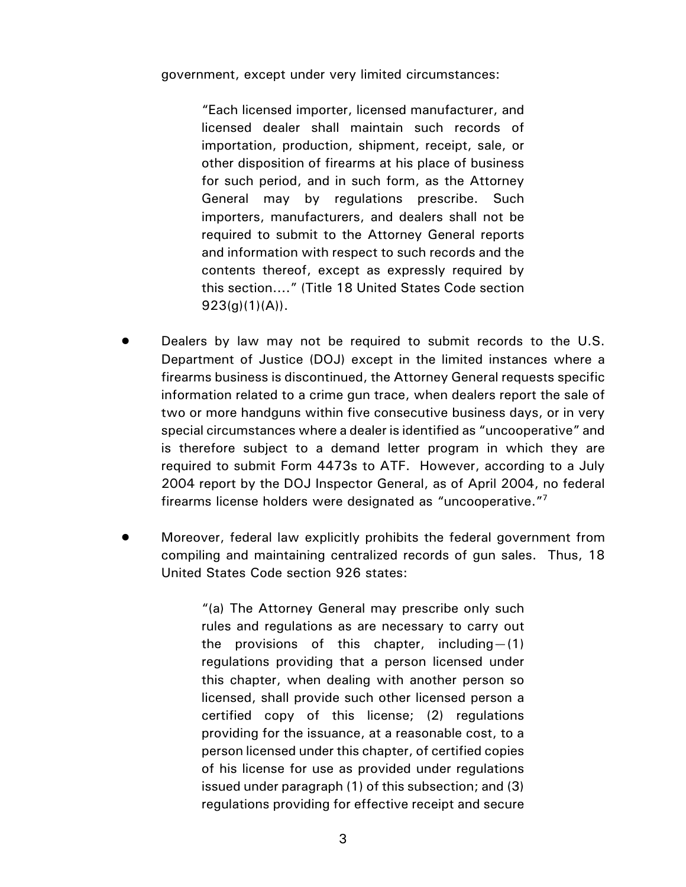government, except under very limited circumstances:

"Each licensed importer, licensed manufacturer, and licensed dealer shall maintain such records of importation, production, shipment, receipt, sale, or other disposition of firearms at his place of business for such period, and in such form, as the Attorney General may by regulations prescribe. Such importers, manufacturers, and dealers shall not be required to submit to the Attorney General reports and information with respect to such records and the contents thereof, except as expressly required by this section...." (Title 18 United States Code section  $923(g)(1)(A)$ .

- Dealers by law may not be required to submit records to the U.S. Department of Justice (DOJ) except in the limited instances where a firearms business is discontinued, the Attorney General requests specific information related to a crime gun trace, when dealers report the sale of two or more handguns within five consecutive business days, or in very special circumstances where a dealer is identified as "uncooperative" and is therefore subject to a demand letter program in which they are required to submit Form 4473s to ATF. However, according to a July 2004 report by the DOJ Inspector General, as of April 2004, no federal firearms license holders were designated as "uncooperative."7
- ! Moreover, federal law explicitly prohibits the federal government from compiling and maintaining centralized records of gun sales. Thus, 18 United States Code section 926 states:

"(a) The Attorney General may prescribe only such rules and regulations as are necessary to carry out the provisions of this chapter, including—(1) regulations providing that a person licensed under this chapter, when dealing with another person so licensed, shall provide such other licensed person a certified copy of this license; (2) regulations providing for the issuance, at a reasonable cost, to a person licensed under this chapter, of certified copies of his license for use as provided under regulations issued under paragraph (1) of this subsection; and (3) regulations providing for effective receipt and secure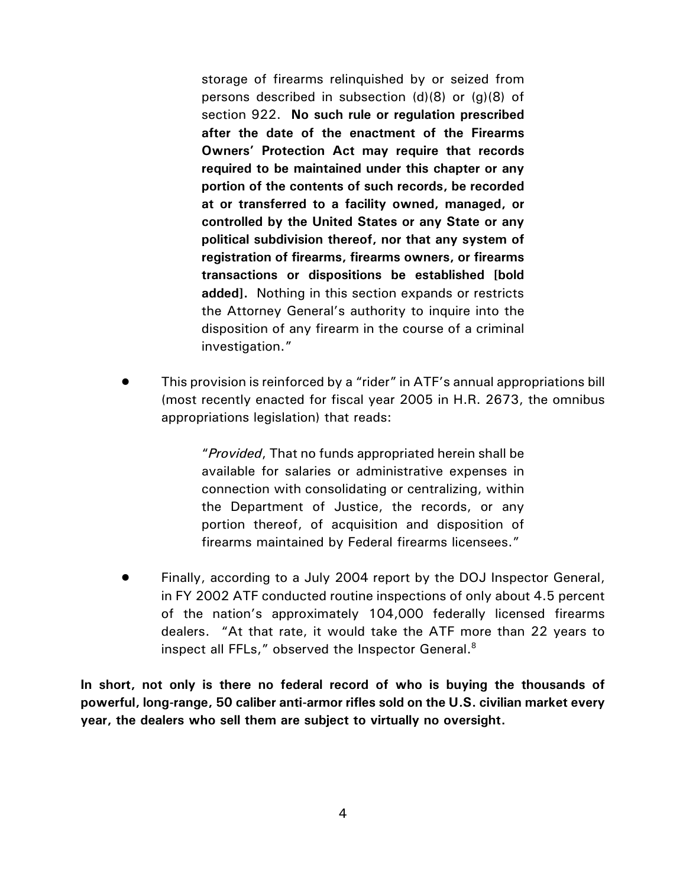storage of firearms relinquished by or seized from persons described in subsection (d)(8) or (g)(8) of section 922. **No such rule or regulation prescribed after the date of the enactment of the Firearms Owners' Protection Act may require that records required to be maintained under this chapter or any portion of the contents of such records, be recorded at or transferred to a facility owned, managed, or controlled by the United States or any State or any political subdivision thereof, nor that any system of registration of firearms, firearms owners, or firearms transactions or dispositions be established [bold added].** Nothing in this section expands or restricts the Attorney General's authority to inquire into the disposition of any firearm in the course of a criminal investigation."

! This provision is reinforced by a "rider" in ATF's annual appropriations bill (most recently enacted for fiscal year 2005 in H.R. 2673, the omnibus appropriations legislation) that reads:

> "*Provided*, That no funds appropriated herein shall be available for salaries or administrative expenses in connection with consolidating or centralizing, within the Department of Justice, the records, or any portion thereof, of acquisition and disposition of firearms maintained by Federal firearms licensees."

! Finally, according to a July 2004 report by the DOJ Inspector General, in FY 2002 ATF conducted routine inspections of only about 4.5 percent of the nation's approximately 104,000 federally licensed firearms dealers. "At that rate, it would take the ATF more than 22 years to inspect all FFLs," observed the Inspector General.8

**In short, not only is there no federal record of who is buying the thousands of powerful, long-range, 50 caliber anti-armor rifles sold on the U.S. civilian market every year, the dealers who sell them are subject to virtually no oversight.**